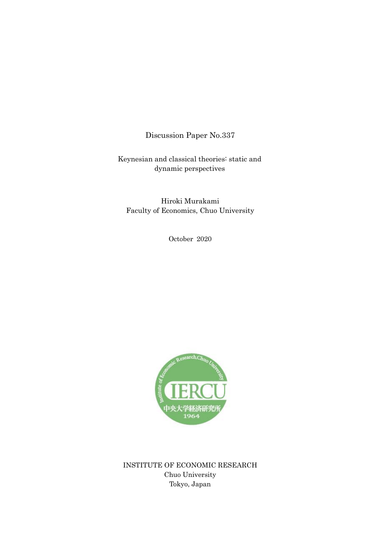Discussion Paper No.337

Keynesian and classical theories: static and dynamic perspectives

Hiroki Murakami Faculty of Economics, Chuo University

October 2020



INSTITUTE OF ECONOMIC RESEARCH Chuo University Tokyo, Japan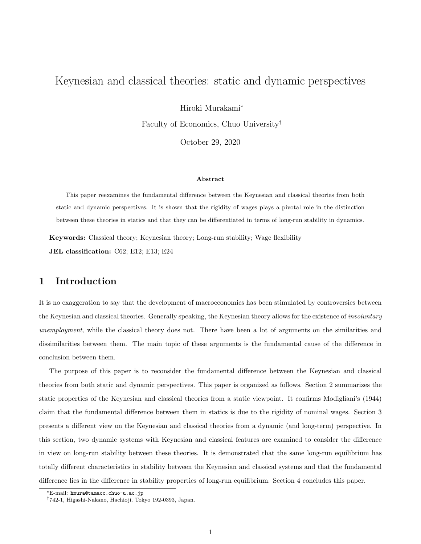# Keynesian and classical theories: static and dynamic perspectives

Hiroki Murakami<sup>∗</sup>

Faculty of Economics, Chuo University†

October 29, 2020

#### Abstract

This paper reexamines the fundamental difference between the Keynesian and classical theories from both static and dynamic perspectives. It is shown that the rigidity of wages plays a pivotal role in the distinction between these theories in statics and that they can be differentiated in terms of long-run stability in dynamics.

Keywords: Classical theory; Keynesian theory; Long-run stability; Wage flexibility JEL classification: C62; E12; E13; E24

### 1 Introduction

It is no exaggeration to say that the development of macroeconomics has been stimulated by controversies between the Keynesian and classical theories. Generally speaking, the Keynesian theory allows for the existence of *involuntary* unemployment, while the classical theory does not. There have been a lot of arguments on the similarities and dissimilarities between them. The main topic of these arguments is the fundamental cause of the difference in conclusion between them.

The purpose of this paper is to reconsider the fundamental difference between the Keynesian and classical theories from both static and dynamic perspectives. This paper is organized as follows. Section 2 summarizes the static properties of the Keynesian and classical theories from a static viewpoint. It confirms Modigliani's (1944) claim that the fundamental difference between them in statics is due to the rigidity of nominal wages. Section 3 presents a different view on the Keynesian and classical theories from a dynamic (and long-term) perspective. In this section, two dynamic systems with Keynesian and classical features are examined to consider the difference in view on long-run stability between these theories. It is demonstrated that the same long-run equilibrium has totally different characteristics in stability between the Keynesian and classical systems and that the fundamental difference lies in the difference in stability properties of long-run equilibrium. Section 4 concludes this paper.

<sup>∗</sup>E-mail: hmura@tamacc.chuo-u.ac.jp

<sup>†</sup>742-1, Higashi-Nakano, Hachioji, Tokyo 192-0393, Japan.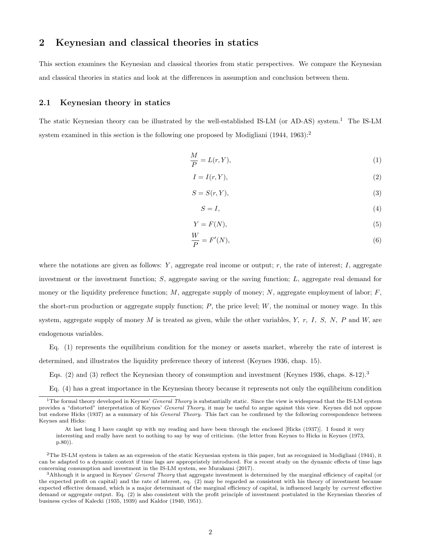### 2 Keynesian and classical theories in statics

This section examines the Keynesian and classical theories from static perspectives. We compare the Keynesian and classical theories in statics and look at the differences in assumption and conclusion between them.

#### 2.1 Keynesian theory in statics

The static Keynesian theory can be illustrated by the well-established IS-LM (or AD-AS) system.<sup>1</sup> The IS-LM system examined in this section is the following one proposed by Modigliani  $(1944, 1963)$ :

$$
\frac{M}{P} = L(r, Y),\tag{1}
$$

$$
I = I(r, Y),\tag{2}
$$

$$
S = S(r, Y),\tag{3}
$$

$$
S = I,\tag{4}
$$

$$
Y = F(N),\tag{5}
$$

$$
\frac{W}{P} = F'(N),\tag{6}
$$

where the notations are given as follows:  $Y$ , aggregate real income or output;  $r$ , the rate of interest;  $I$ , aggregate investment or the investment function; S, aggregate saving or the saving function; L, aggregate real demand for money or the liquidity preference function;  $M$ , aggregate supply of money;  $N$ , aggregate employment of labor;  $F$ , the short-run production or aggregate supply function;  $P$ , the price level;  $W$ , the nominal or money wage. In this system, aggregate supply of money M is treated as given, while the other variables, Y, r, I, S, N, P and W, are endogenous variables.

Eq. (1) represents the equilibrium condition for the money or assets market, whereby the rate of interest is determined, and illustrates the liquidity preference theory of interest (Keynes 1936, chap. 15).

Eqs. (2) and (3) reflect the Keynesian theory of consumption and investment (Keynes 1936, chaps. 8-12).<sup>3</sup>

Eq. (4) has a great importance in the Keynesian theory because it represents not only the equilibrium condition

<sup>&</sup>lt;sup>1</sup>The formal theory developed in Keynes' *General Theory* is substantially static. Since the view is widespread that the IS-LM system provides a "distorted" interpretation of Keynes' General Theory, it may be useful to argue against this view. Keynes did not oppose but endorse Hicks (1937) as a summary of his General Theory. This fact can be confirmed by the following correspondence between Keynes and Hicks:

At last long I have caught up with my reading and have been through the enclosed [Hicks (1937)]. I found it very interesting and really have next to nothing to say by way of criticism. (the letter from Keynes to Hicks in Keynes (1973, p.80)).

 ${}^{2}$ The IS-LM system is taken as an expression of the static Keynesian system in this paper, but as recognized in Modigliani (1944), it can be adapted to a dynamic context if time lags are appropriately introduced. For a recent study on the dynamic effects of time lags concerning consumption and investment in the IS-LM system, see Murakami (2017).

 $3$ Although it is argued in Keynes' *General Theory* that aggregate investment is determined by the marginal efficiency of capital (or the expected profit on capital) and the rate of interest, eq. (2) may be regarded as consistent with his theory of investment because expected effective demand, which is a major determinant of the marginal efficiency of capital, is influenced largely by current effective demand or aggregate output. Eq. (2) is also consistent with the profit principle of investment postulated in the Keynesian theories of business cycles of Kalecki (1935, 1939) and Kaldor (1940, 1951).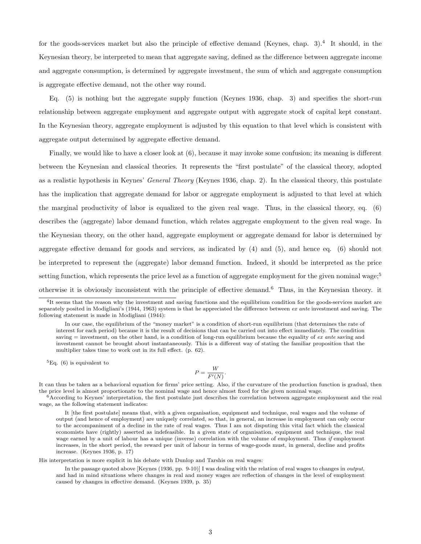for the goods-services market but also the principle of effective demand (Keynes, chap. 3).<sup>4</sup> It should, in the Keynesian theory, be interpreted to mean that aggregate saving, defined as the difference between aggregate income and aggregate consumption, is determined by aggregate investment, the sum of which and aggregate consumption is aggregate effective demand, not the other way round.

Eq. (5) is nothing but the aggregate supply function (Keynes 1936, chap. 3) and specifies the short-run relationship between aggregate employment and aggregate output with aggregate stock of capital kept constant. In the Keynesian theory, aggregate employment is adjusted by this equation to that level which is consistent with aggregate output determined by aggregate effective demand.

Finally, we would like to have a closer look at (6), because it may invoke some confusion; its meaning is different between the Keynesian and classical theories. It represents the "first postulate" of the classical theory, adopted as a realistic hypothesis in Keynes' General Theory (Keynes 1936, chap. 2). In the classical theory, this postulate has the implication that aggregate demand for labor or aggregate employment is adjusted to that level at which the marginal productivity of labor is equalized to the given real wage. Thus, in the classical theory, eq. (6) describes the (aggregate) labor demand function, which relates aggregate employment to the given real wage. In the Keynesian theory, on the other hand, aggregate employment or aggregate demand for labor is determined by aggregate effective demand for goods and services, as indicated by (4) and (5), and hence eq. (6) should not be interpreted to represent the (aggregate) labor demand function. Indeed, it should be interpreted as the price setting function, which represents the price level as a function of aggregate employment for the given nominal wage;<sup>5</sup> otherwise it is obviously inconsistent with the principle of effective demand.<sup>6</sup> Thus, in the Keynesian theory. it

 ${}^{5}$ Eq. (6) is equivalent to

$$
P = \frac{W}{F'(N)}.
$$

It can thus be taken as a behavioral equation for firms' price setting. Also, if the curvature of the production function is gradual, then the price level is almost proportionate to the nominal wage and hence almost fixed for the given nominal wage.

 $6$ According to Keynes' interpretation, the first postulate just describes the correlation between aggregate employment and the real wage, as the following statement indicates:

It [the first postulate] means that, with a given organisation, equipment and technique, real wages and the volume of output (and hence of employment) are uniquely correlated, so that, in general, an increase in employment can only occur to the accompaniment of a decline in the rate of real wages. Thus I am not disputing this vital fact which the classical economists have (rightly) asserted as indefeasible. In a given state of organisation, equipment and technique, the real wage earned by a unit of labour has a unique (inverse) correlation with the volume of employment. Thus if employment increases, in the short period, the reward per unit of labour in terms of wage-goods must, in general, decline and profits increase. (Keynes 1936, p. 17)

His interpretation is more explicit in his debate with Dunlop and Tarshis on real wages:

In the passage quoted above [Keynes (1936, pp. 9-10)] I was dealing with the relation of real wages to changes in output, and had in mind situations where changes in real and money wages are reflection of changes in the level of employment caused by changes in effective demand. (Keynes 1939, p. 35)

<sup>&</sup>lt;sup>4</sup>It seems that the reason why the investment and saving functions and the equilibrium condition for the goods-services market are separately posited in Modigliani's (1944, 1963) system is that he appreciated the difference between ex ante investment and saving. The following statement is made in Modigliani (1944):

In our case, the equilibrium of the "money market" is a condition of short-run equilibrium (that determines the rate of interest for each period) because it is the result of decisions that can be carried out into effect immediately. The condition saving  $=$  investment, on the other hand, is a condition of long-run equilibrium because the equality of  $ex$  ante saving and investment cannot be brought about instantaneously. This is a different way of stating the familiar proposition that the multiplier takes time to work out in its full effect. (p. 62).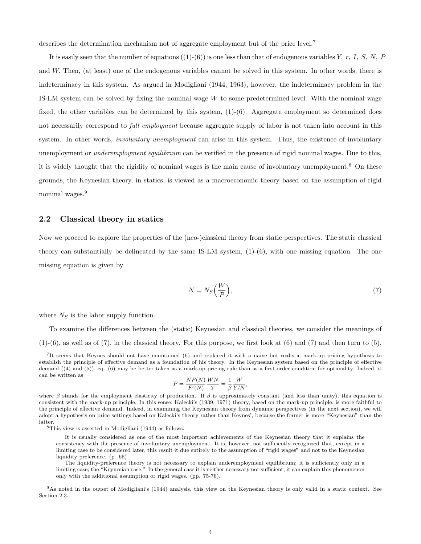describes the determination mechanism not of aggregate employment but of the price level.<sup>7</sup>

It is easily seen that the number of equations  $((1)-(6))$  is one less than that of endogenous variables Y, r, I, S, N, P and W. Then, (at least) one of the endogenous variables cannot be solved in this system. In other words, there is indeterminacy in this system. As argued in Modigliani (1944, 1963), however, the indeterminacy problem in the IS-LM system can be solved by fixing the nominal wage  $W$  to some predetermined level. With the nominal wage fixed, the other variables can be determined by this system, (1)-(6). Aggregate employment so determined does not necessarily correspond to *full employment* because aggregate supply of labor is not taken into account in this system. In other words, *involuntary unemployment* can arise in this system. Thus, the existence of involuntary unemployment or *underemployment equilibrium* can be verified in the presence of rigid nominal wages. Due to this, it is widely thought that the rigidity of nominal wages is the main cause of involuntary unemployment.<sup>8</sup> On these grounds, the Keynesian theory, in statics, is viewed as a macroeconomic theory based on the assumption of rigid nominal wages.<sup>9</sup>

#### 2.2 Classical theory in statics

Now we proceed to explore the properties of the (neo-)classical theory from static perspectives. The static classical theory can substantially be delineated by the same IS-LM system, (1)-(6), with one missing equation. The one missing equation is given by

$$
N = N_S \left(\frac{W}{P}\right),\tag{7}
$$

where  $N<sub>S</sub>$  is the labor supply function.

To examine the differences between the (static) Keynesian and classical theories, we consider the meanings of  $(1)-(6)$ , as well as of  $(7)$ , in the classical theory. For this purpose, we first look at  $(6)$  and  $(7)$  and then turn to  $(5)$ ,

$$
P = \frac{N F(N)}{F'(N)} \frac{WN}{Y} = \frac{1}{\beta} \frac{W}{Y/N},
$$

<sup>&</sup>lt;sup>7</sup>It seems that Keynes should not have maintained (6) and replaced it with a naive but realistic mark-up pricing hypothesis to establish the principle of effective demand as a foundation of his theory. In the Keynesian system based on the principle of effective demand ((4) and (5)), eq. (6) may be better taken as a mark-up pricing rule than as a first order condition for optimality. Indeed, it can be written as

where  $\beta$  stands for the employment elasticity of production. If  $\beta$  is approximately constant (and less than unity), this equation is consistent with the mark-up principle. In this sense, Kalecki's (1939, 1971) theory, based on the mark-up principle, is more faithful to the principle of effective demand. Indeed, in examining the Keynesian theory from dynamic perspectives (in the next section), we will adopt a hypothesis on price settings based on Kalecki's theory rather than Keynes', because the former is more "Keynesian" than the latter.

<sup>8</sup>This view is asserted in Modigliani (1944) as follows:

It is usually considered as one of the most important achievements of the Keynesian theory that it explains the consistency with the presence of involuntary unemployment. It is, however, not sufficiently recognized that, except in a limiting case to be considered later, this result it due entirely to the assumption of "rigid wages" and not to the Keynesian liquidity preference. (p. 65)

The liquidity-preference theory is not necessary to explain underemployment equilibrium; it is sufficiently only in a limiting case; the "Keynesian case." In the general case it is neither necessary nor sufficient; it can explain this phenomenon only with the additional assumption or rigid wages. (pp. 75-76).

<sup>9</sup>As noted in the outset of Modigliani's (1944) analysis, this view on the Keynesian theory is only valid in a static context. See Section 2.3.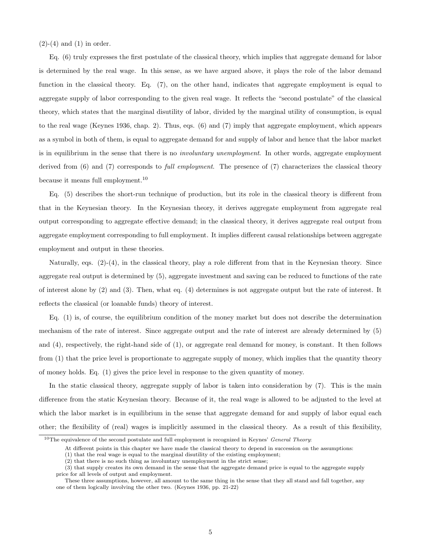$(2)-(4)$  and  $(1)$  in order.

Eq. (6) truly expresses the first postulate of the classical theory, which implies that aggregate demand for labor is determined by the real wage. In this sense, as we have argued above, it plays the role of the labor demand function in the classical theory. Eq. (7), on the other hand, indicates that aggregate employment is equal to aggregate supply of labor corresponding to the given real wage. It reflects the "second postulate" of the classical theory, which states that the marginal disutility of labor, divided by the marginal utility of consumption, is equal to the real wage (Keynes 1936, chap. 2). Thus, eqs. (6) and (7) imply that aggregate employment, which appears as a symbol in both of them, is equal to aggregate demand for and supply of labor and hence that the labor market is in equilibrium in the sense that there is no involuntary unemployment. In other words, aggregate employment derived from (6) and (7) corresponds to *full employment*. The presence of (7) characterizes the classical theory because it means full employment.<sup>10</sup>

Eq. (5) describes the short-run technique of production, but its role in the classical theory is different from that in the Keynesian theory. In the Keynesian theory, it derives aggregate employment from aggregate real output corresponding to aggregate effective demand; in the classical theory, it derives aggregate real output from aggregate employment corresponding to full employment. It implies different causal relationships between aggregate employment and output in these theories.

Naturally, eqs. (2)-(4), in the classical theory, play a role different from that in the Keynesian theory. Since aggregate real output is determined by (5), aggregate investment and saving can be reduced to functions of the rate of interest alone by (2) and (3). Then, what eq. (4) determines is not aggregate output but the rate of interest. It reflects the classical (or loanable funds) theory of interest.

Eq. (1) is, of course, the equilibrium condition of the money market but does not describe the determination mechanism of the rate of interest. Since aggregate output and the rate of interest are already determined by (5) and (4), respectively, the right-hand side of (1), or aggregate real demand for money, is constant. It then follows from (1) that the price level is proportionate to aggregate supply of money, which implies that the quantity theory of money holds. Eq. (1) gives the price level in response to the given quantity of money.

In the static classical theory, aggregate supply of labor is taken into consideration by (7). This is the main difference from the static Keynesian theory. Because of it, the real wage is allowed to be adjusted to the level at which the labor market is in equilibrium in the sense that aggregate demand for and supply of labor equal each other; the flexibility of (real) wages is implicitly assumed in the classical theory. As a result of this flexibility,

<sup>&</sup>lt;sup>10</sup>The equivalence of the second postulate and full employment is recognized in Keynes' *General Theory*:

At different points in this chapter we have made the classical theory to depend in succession on the assumptions:

<sup>(1)</sup> that the real wage is equal to the marginal disutility of the existing employment;

 $(2)$  that there is no such thing as involuntary unemployment in the strict sense;

<sup>(3)</sup> that supply creates its own demand in the sense that the aggregate demand price is equal to the aggregate supply price for all levels of output and employment.

These three assumptions, however, all amount to the same thing in the sense that they all stand and fall together, any one of them logically involving the other two. (Keynes 1936, pp. 21-22)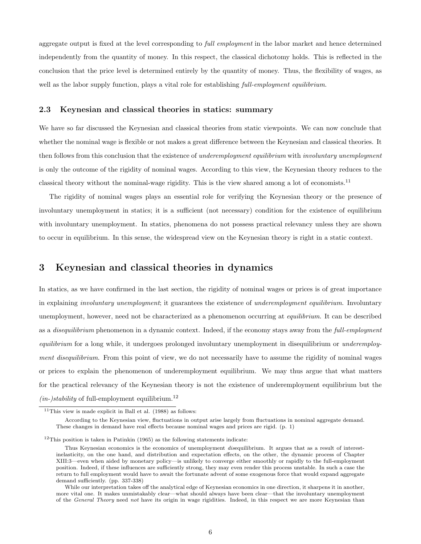aggregate output is fixed at the level corresponding to full employment in the labor market and hence determined independently from the quantity of money. In this respect, the classical dichotomy holds. This is reflected in the conclusion that the price level is determined entirely by the quantity of money. Thus, the flexibility of wages, as well as the labor supply function, plays a vital role for establishing full-employment equilibrium.

### 2.3 Keynesian and classical theories in statics: summary

We have so far discussed the Keynesian and classical theories from static viewpoints. We can now conclude that whether the nominal wage is flexible or not makes a great difference between the Keynesian and classical theories. It then follows from this conclusion that the existence of underemployment equilibrium with involuntary unemployment is only the outcome of the rigidity of nominal wages. According to this view, the Keynesian theory reduces to the classical theory without the nominal-wage rigidity. This is the view shared among a lot of economists.<sup>11</sup>

The rigidity of nominal wages plays an essential role for verifying the Keynesian theory or the presence of involuntary unemployment in statics; it is a sufficient (not necessary) condition for the existence of equilibrium with involuntary unemployment. In statics, phenomena do not possess practical relevancy unless they are shown to occur in equilibrium. In this sense, the widespread view on the Keynesian theory is right in a static context.

### 3 Keynesian and classical theories in dynamics

In statics, as we have confirmed in the last section, the rigidity of nominal wages or prices is of great importance in explaining involuntary unemployment; it guarantees the existence of underemployment equilibrium. Involuntary unemployment, however, need not be characterized as a phenomenon occurring at *equilibrium*. It can be described as a *disequilibrium* phenomenon in a dynamic context. Indeed, if the economy stays away from the *full-employment* equilibrium for a long while, it undergoes prolonged involuntary unemployment in disequilibrium or underemployment disequilibrium. From this point of view, we do not necessarily have to assume the rigidity of nominal wages or prices to explain the phenomenon of underemployment equilibrium. We may thus argue that what matters for the practical relevancy of the Keynesian theory is not the existence of underemployment equilibrium but the  $(in-)stability$  of full-employment equilibrium.<sup>12</sup>

<sup>&</sup>lt;sup>11</sup>This view is made explicit in Ball et al.  $(1988)$  as follows:

According to the Keynesian view, fluctuations in output arise largely from fluctuations in nominal aggregate demand. These changes in demand have real effects because nominal wages and prices are rigid. (p. 1)

 $12$ This position is taken in Patinkin (1965) as the following statements indicate:

Thus Keynesian economics is the economics of unemployment *disequilibrium*. It argues that as a result of interestinelasticity, on the one hand, and distribution and expectation effects, on the other, the dynamic process of Chapter XIII:3—even when aided by monetary policy—is unlikely to converge either smoothly or rapidly to the full-employment position. Indeed, if these influences are sufficiently strong, they may even render this process unstable. In such a case the return to full employment would have to await the fortunate advent of some exogenous force that would expand aggregate demand sufficiently. (pp. 337-338)

While our interpretation takes off the analytical edge of Keynesian economics in one direction, it sharpens it in another, more vital one. It makes unmistakably clear—what should always have been clear—that the involuntary unemployment of the *General Theory* need not have its origin in wage rigidities. Indeed, in this respect we are more Keynesian than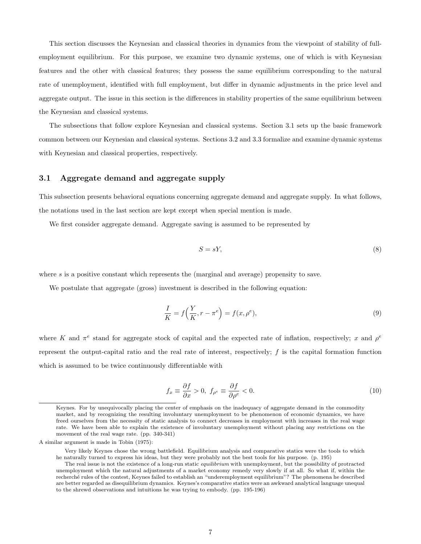This section discusses the Keynesian and classical theories in dynamics from the viewpoint of stability of fullemployment equilibrium. For this purpose, we examine two dynamic systems, one of which is with Keynesian features and the other with classical features; they possess the same equilibrium corresponding to the natural rate of unemployment, identified with full employment, but differ in dynamic adjustments in the price level and aggregate output. The issue in this section is the differences in stability properties of the same equilibrium between the Keynesian and classical systems.

The subsections that follow explore Keynesian and classical systems. Section 3.1 sets up the basic framework common between our Keynesian and classical systems. Sections 3.2 and 3.3 formalize and examine dynamic systems with Keynesian and classical properties, respectively.

#### 3.1 Aggregate demand and aggregate supply

This subsection presents behavioral equations concerning aggregate demand and aggregate supply. In what follows, the notations used in the last section are kept except when special mention is made.

We first consider aggregate demand. Aggregate saving is assumed to be represented by

$$
S = sY,\tag{8}
$$

where  $s$  is a positive constant which represents the (marginal and average) propensity to save.

We postulate that aggregate (gross) investment is described in the following equation:

$$
\frac{I}{K} = f\left(\frac{Y}{K}, r - \pi^e\right) = f(x, \rho^e),\tag{9}
$$

where K and  $\pi^e$  stand for aggregate stock of capital and the expected rate of inflation, respectively; x and  $\rho^e$ represent the output-capital ratio and the real rate of interest, respectively;  $f$  is the capital formation function which is assumed to be twice continuously differentiable with

$$
f_x \equiv \frac{\partial f}{\partial x} > 0, \ f_{\rho^e} \equiv \frac{\partial f}{\partial \rho^e} < 0. \tag{10}
$$

Keynes. For by unequivocally placing the center of emphasis on the inadequacy of aggregate demand in the commodity market, and by recognizing the resulting involuntary unemployment to be phenomenon of economic dynamics, we have freed ourselves from the necessity of static analysis to connect decreases in employment with increases in the real wage rate. We have been able to explain the existence of involuntary unemployment without placing any restrictions on the movement of the real wage rate. (pp. 340-341)

A similar argument is made in Tobin (1975):

Very likely Keynes chose the wrong battlefield. Equilibrium analysis and comparative statics were the tools to which he naturally turned to express his ideas, but they were probably not the best tools for his purpose. (p. 195)

The real issue is not the existence of a long-run static *equilibrium* with unemployment, but the possibility of protracted unemployment which the natural adjustments of a market economy remedy very slowly if at all. So what if, within the recherché rules of the contest, Keynes failed to establish an "underemployment equilibrium"? The phenomena he described are better regarded as disequilibrium dynamics. Keynes's comparative statics were an awkward analytical language unequal to the shrewd observations and intuitions he was trying to embody. (pp. 195-196)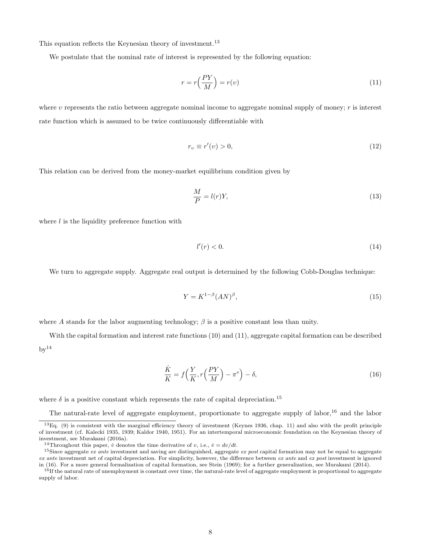This equation reflects the Keynesian theory of investment.<sup>13</sup>

We postulate that the nominal rate of interest is represented by the following equation:

$$
r = r\left(\frac{PY}{M}\right) = r(v) \tag{11}
$$

where v represents the ratio between aggregate nominal income to aggregate nominal supply of money; r is interest rate function which is assumed to be twice continuously differentiable with

$$
r_v \equiv r'(v) > 0,\tag{12}
$$

This relation can be derived from the money-market equilibrium condition given by

$$
\frac{M}{P} = l(r)Y,\tag{13}
$$

where  $l$  is the liquidity preference function with

$$
l'(r) < 0.\tag{14}
$$

We turn to aggregate supply. Aggregate real output is determined by the following Cobb-Douglas technique:

$$
Y = K^{1-\beta}(AN)^{\beta},\tag{15}
$$

where A stands for the labor augmenting technology;  $\beta$  is a positive constant less than unity.

With the capital formation and interest rate functions (10) and (11), aggregate capital formation can be described  $bv^{14}$ 

$$
\frac{\dot{K}}{K} = f\left(\frac{Y}{K}, r\left(\frac{PY}{M}\right) - \pi^e\right) - \delta,\tag{16}
$$

where  $\delta$  is a positive constant which represents the rate of capital depreciation.<sup>15</sup>

The natural-rate level of aggregate employment, proportionate to aggregate supply of labor,<sup>16</sup> and the labor

 ${}^{13}$ Eq. (9) is consistent with the marginal efficiency theory of investment (Keynes 1936, chap. 11) and also with the profit principle of investment (cf. Kalecki 1935, 1939; Kaldor 1940, 1951). For an intertemporal microeconomic foundation on the Keynesian theory of investment, see Murakami (2016a).

<sup>&</sup>lt;sup>14</sup>Throughout this paper,  $v$  denotes the time derivative of  $v$ , i.e.,  $\dot{v} = dv/dt$ .

<sup>&</sup>lt;sup>15</sup>Since aggregate *ex ante* investment and saving are distinguished, aggregate *ex post* capital formation may not be equal to aggregate ex ante investment net of capital depreciation. For simplicity, however, the difference between ex ante and ex post investment is ignored in (16). For a more general formalization of capital formation, see Stein (1969); for a further generalization, see Murakami (2014).

<sup>&</sup>lt;sup>16</sup>If the natural rate of unemployment is constant over time, the natural-rate level of aggregate employment is proportional to aggregate supply of labor.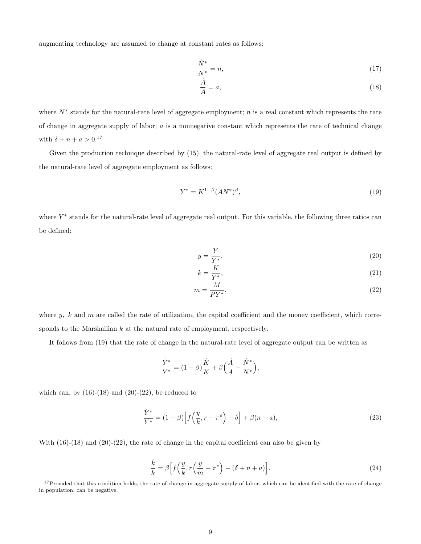augmenting technology are assumed to change at constant rates as follows:

$$
\frac{\dot{N}^*}{N^*} = n,\tag{17}
$$

$$
\frac{\dot{A}}{A} = a,\tag{18}
$$

where  $N^*$  stands for the natural-rate level of aggregate employment; n is a real constant which represents the rate of change in aggregate supply of labor;  $a$  is a nonnegative constant which represents the rate of technical change with  $\delta + n + a > 0.17$ 

Given the production technique described by (15), the natural-rate level of aggregate real output is defined by the natural-rate level of aggregate employment as follows:

$$
Y^* = K^{1-\beta} (A N^*)^{\beta}, \tag{19}
$$

where  $Y^*$  stands for the natural-rate level of aggregate real output. For this variable, the following three ratios can be defined:

$$
y = \frac{Y}{Y^*},\tag{20}
$$

$$
k = \frac{K}{Y^*},\tag{21}
$$

$$
m = \frac{M}{PY^*},\tag{22}
$$

where  $y$ ,  $k$  and  $m$  are called the rate of utilization, the capital coefficient and the money coefficient, which corresponds to the Marshallian  $k$  at the natural rate of employment, respectively.

It follows from (19) that the rate of change in the natural-rate level of aggregate output can be written as

$$
\frac{\dot{Y}^*}{Y^*} = (1-\beta)\frac{\dot{K}}{K} + \beta\Big(\frac{\dot{A}}{A} + \frac{\dot{N}^*}{N^*}\Big),
$$

which can, by  $(16)-(18)$  and  $(20)-(22)$ , be reduced to

$$
\frac{\dot{Y}^*}{Y^*} = (1 - \beta) \left[ f\left(\frac{y}{k}, r - \pi^e\right) - \delta \right] + \beta(n + a),\tag{23}
$$

With (16)-(18) and (20)-(22), the rate of change in the capital coefficient can also be given by

$$
\frac{\dot{k}}{k} = \beta \left[ f\left(\frac{y}{k}, r\left(\frac{y}{m} - \pi^e\right) - (\delta + n + a) \right].\right)
$$
\n(24)

 $17$ Provided that this condition holds, the rate of change in aggregate supply of labor, which can be identified with the rate of change in population, can be negative.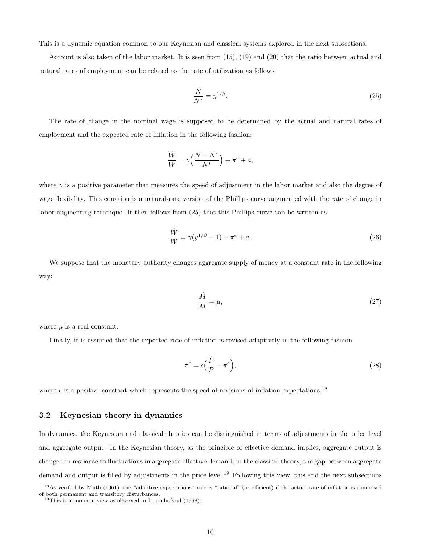This is a dynamic equation common to our Keynesian and classical systems explored in the next subsections.

Account is also taken of the labor market. It is seen from (15), (19) and (20) that the ratio between actual and natural rates of employment can be related to the rate of utilization as follows:

$$
\frac{N}{N^*} = y^{1/\beta}.\tag{25}
$$

The rate of change in the nominal wage is supposed to be determined by the actual and natural rates of employment and the expected rate of inflation in the following fashion:

$$
\frac{\dot{W}}{W} = \gamma \Big( \frac{N-N^*}{N^*} \Big) + \pi^e + a,
$$

where  $\gamma$  is a positive parameter that measures the speed of adjustment in the labor market and also the degree of wage flexibility. This equation is a natural-rate version of the Phillips curve augmented with the rate of change in labor augmenting technique. It then follows from (25) that this Phillips curve can be written as

$$
\frac{\dot{W}}{W} = \gamma (y^{1/\beta} - 1) + \pi^e + a.
$$
\n(26)

We suppose that the monetary authority changes aggregate supply of money at a constant rate in the following way:

$$
\frac{\dot{M}}{M} = \mu,\tag{27}
$$

where  $\mu$  is a real constant.

Finally, it is assumed that the expected rate of inflation is revised adaptively in the following fashion:

$$
\dot{\pi}^e = \epsilon \Big(\frac{\dot{P}}{P} - \pi^e\Big),\tag{28}
$$

where  $\epsilon$  is a positive constant which represents the speed of revisions of inflation expectations.<sup>18</sup>

#### 3.2 Keynesian theory in dynamics

In dynamics, the Keynesian and classical theories can be distinguished in terms of adjustments in the price level and aggregate output. In the Keynesian theory, as the principle of effective demand implies, aggregate output is changed in response to fluctuations in aggregate effective demand; in the classical theory, the gap between aggregate demand and output is filled by adjustments in the price level.<sup>19</sup> Following this view, this and the next subsections

<sup>&</sup>lt;sup>18</sup>As verified by Muth (1961), the "adaptive expectations" rule is "rational" (or efficient) if the actual rate of inflation is composed of both permanent and transitory disturbances.

 $19$ This is a common view as observed in Leijonhufvud (1968):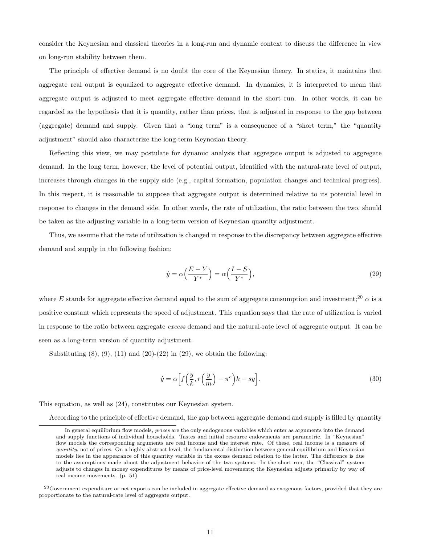consider the Keynesian and classical theories in a long-run and dynamic context to discuss the difference in view on long-run stability between them.

The principle of effective demand is no doubt the core of the Keynesian theory. In statics, it maintains that aggregate real output is equalized to aggregate effective demand. In dynamics, it is interpreted to mean that aggregate output is adjusted to meet aggregate effective demand in the short run. In other words, it can be regarded as the hypothesis that it is quantity, rather than prices, that is adjusted in response to the gap between (aggregate) demand and supply. Given that a "long term" is a consequence of a "short term," the "quantity adjustment" should also characterize the long-term Keynesian theory.

Reflecting this view, we may postulate for dynamic analysis that aggregate output is adjusted to aggregate demand. In the long term, however, the level of potential output, identified with the natural-rate level of output, increases through changes in the supply side (e.g., capital formation, population changes and technical progress). In this respect, it is reasonable to suppose that aggregate output is determined relative to its potential level in response to changes in the demand side. In other words, the rate of utilization, the ratio between the two, should be taken as the adjusting variable in a long-term version of Keynesian quantity adjustment.

Thus, we assume that the rate of utilization is changed in response to the discrepancy between aggregate effective demand and supply in the following fashion:

$$
\dot{y} = \alpha \left(\frac{E - Y}{Y^*}\right) = \alpha \left(\frac{I - S}{Y^*}\right),\tag{29}
$$

where E stands for aggregate effective demand equal to the sum of aggregate consumption and investment;<sup>20</sup>  $\alpha$  is a positive constant which represents the speed of adjustment. This equation says that the rate of utilization is varied in response to the ratio between aggregate excess demand and the natural-rate level of aggregate output. It can be seen as a long-term version of quantity adjustment.

Substituting  $(8)$ ,  $(9)$ ,  $(11)$  and  $(20)-(22)$  in  $(29)$ , we obtain the following:

$$
\dot{y} = \alpha \left[ f\left(\frac{y}{k}, r\left(\frac{y}{m}\right) - \pi^e\right)k - sy \right].
$$
\n(30)

This equation, as well as (24), constitutes our Keynesian system.

According to the principle of effective demand, the gap between aggregate demand and supply is filled by quantity

In general equilibrium flow models, *prices* are the only endogenous variables which enter as arguments into the demand and supply functions of individual households. Tastes and initial resource endowments are parametric. In "Keynesian" flow models the corresponding arguments are real income and the interest rate. Of these, real income is a measure of quantity, not of prices. On a highly abstract level, the fundamental distinction between general equilibrium and Keynesian models lies in the appearance of this quantity variable in the excess demand relation to the latter. The difference is due to the assumptions made about the adjustment behavior of the two systems. In the short run, the "Classical" system adjusts to changes in money expenditures by means of price-level movements; the Keynesian adjusts primarily by way of real income movements. (p. 51)

 $^{20}$ Government expenditure or net exports can be included in aggregate effective demand as exogenous factors, provided that they are proportionate to the natural-rate level of aggregate output.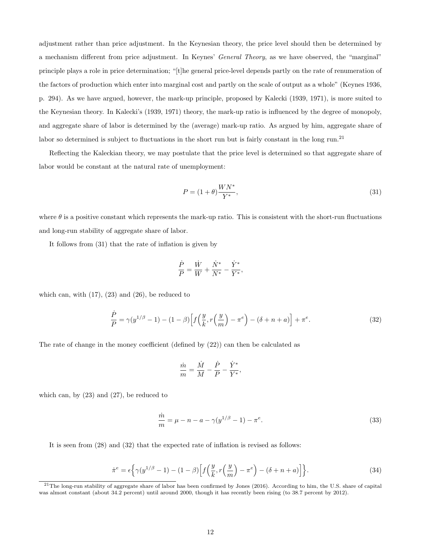adjustment rather than price adjustment. In the Keynesian theory, the price level should then be determined by a mechanism different from price adjustment. In Keynes' General Theory, as we have observed, the "marginal" principle plays a role in price determination; "[t]he general price-level depends partly on the rate of renumeration of the factors of production which enter into marginal cost and partly on the scale of output as a whole" (Keynes 1936, p. 294). As we have argued, however, the mark-up principle, proposed by Kalecki (1939, 1971), is more suited to the Keynesian theory. In Kalecki's (1939, 1971) theory, the mark-up ratio is influenced by the degree of monopoly, and aggregate share of labor is determined by the (average) mark-up ratio. As argued by him, aggregate share of labor so determined is subject to fluctuations in the short run but is fairly constant in the long run.<sup>21</sup>

Reflecting the Kaleckian theory, we may postulate that the price level is determined so that aggregate share of labor would be constant at the natural rate of unemployment:

$$
P = (1+\theta)\frac{WN^*}{Y^*},\tag{31}
$$

where  $\theta$  is a positive constant which represents the mark-up ratio. This is consistent with the short-run fluctuations and long-run stability of aggregate share of labor.

It follows from (31) that the rate of inflation is given by

$$
\frac{\dot{P}}{P} = \frac{\dot{W}}{W} + \frac{\dot{N}^*}{N^*} - \frac{\dot{Y}^*}{Y^*},
$$

which can, with  $(17)$ ,  $(23)$  and  $(26)$ , be reduced to

$$
\frac{\dot{P}}{P} = \gamma(y^{1/\beta} - 1) - (1 - \beta) \left[ f\left(\frac{y}{k}, r\left(\frac{y}{m}\right) - \pi^e\right) - (\delta + n + a) \right] + \pi^e. \tag{32}
$$

The rate of change in the money coefficient (defined by (22)) can then be calculated as

$$
\frac{\dot{m}}{m} = \frac{\dot{M}}{M} - \frac{\dot{P}}{P} - \frac{\dot{Y}^*}{Y^*},
$$

which can, by (23) and (27), be reduced to

$$
\frac{\dot{m}}{m} = \mu - n - a - \gamma (y^{1/\beta} - 1) - \pi^e.
$$
\n(33)

It is seen from (28) and (32) that the expected rate of inflation is revised as follows:

$$
\dot{\pi}^e = \epsilon \left\{ \gamma(y^{1/\beta} - 1) - (1 - \beta) \left[ f\left(\frac{y}{k}, r\left(\frac{y}{m}\right) - \pi^e\right) - (\delta + n + a) \right] \right\}.
$$
\n(34)

<sup>&</sup>lt;sup>21</sup>The long-run stability of aggregate share of labor has been confirmed by Jones (2016). According to him, the U.S. share of capital was almost constant (about 34.2 percent) until around 2000, though it has recently been rising (to 38.7 percent by 2012).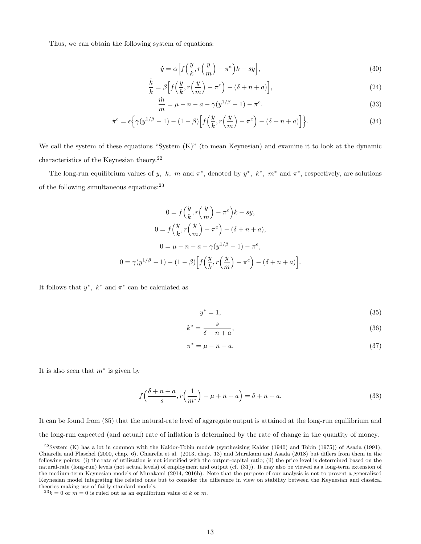Thus, we can obtain the following system of equations:

$$
\dot{y} = \alpha \left[ f\left(\frac{y}{k}, r\left(\frac{y}{m}\right) - \pi^e\right)k - sy \right],\tag{30}
$$

$$
\frac{\dot{k}}{k} = \beta \Big[ f\Big(\frac{y}{k}, r\Big(\frac{y}{m}\Big) - \pi^e \Big) - (\delta + n + a) \Big],\tag{24}
$$

$$
\frac{\dot{m}}{m} = \mu - n - a - \gamma (y^{1/\beta} - 1) - \pi^e.
$$
\n(33)

$$
\dot{\pi}^e = \epsilon \left\{ \gamma(y^{1/\beta} - 1) - (1 - \beta) \left[ f\left(\frac{y}{k}, r\left(\frac{y}{m}\right) - \pi^e\right) - (\delta + n + a) \right] \right\}.
$$
\n(34)

We call the system of these equations "System (K)" (to mean Keynesian) and examine it to look at the dynamic characteristics of the Keynesian theory.<sup>22</sup>

The long-run equilibrium values of y, k, m and  $\pi^e$ , denoted by  $y^*$ ,  $k^*$ ,  $m^*$  and  $\pi^*$ , respectively, are solutions of the following simultaneous equations:<sup>23</sup>

$$
0 = f\left(\frac{y}{k}, r\left(\frac{y}{m}\right) - \pi^e\right)k - sy,
$$
  

$$
0 = f\left(\frac{y}{k}, r\left(\frac{y}{m}\right) - \pi^e\right) - (\delta + n + a),
$$
  

$$
0 = \mu - n - a - \gamma(y^{1/\beta} - 1) - \pi^e,
$$
  

$$
0 = \gamma(y^{1/\beta} - 1) - (1 - \beta)\left[f\left(\frac{y}{k}, r\left(\frac{y}{m}\right) - \pi^e\right) - (\delta + n + a)\right].
$$

It follows that  $y^*$ ,  $k^*$  and  $\pi^*$  can be calculated as

$$
y^* = 1,\tag{35}
$$

$$
k^* = \frac{s}{\delta + n + a},\tag{36}
$$

$$
\pi^* = \mu - n - a. \tag{37}
$$

It is also seen that  $m^*$  is given by

$$
f\left(\frac{\delta + n + a}{s}, r\left(\frac{1}{m^*}\right) - \mu + n + a\right) = \delta + n + a. \tag{38}
$$

It can be found from (35) that the natural-rate level of aggregate output is attained at the long-run equilibrium and the long-run expected (and actual) rate of inflation is determined by the rate of change in the quantity of money.

 $22$ System (K) has a lot in common with the Kaldor-Tobin models (synthesizing Kaldor (1940) and Tobin (1975)) of Asada (1991), Chiarella and Flaschel (2000, chap. 6), Chiarella et al. (2013, chap. 13) and Murakami and Asada (2018) but differs from them in the following points: (i) the rate of utilization is not identified with the output-capital ratio; (ii) the price level is determined based on the natural-rate (long-run) levels (not actual levels) of employment and output (cf. (31)). It may also be viewed as a long-term extension of the medium-term Keynesian models of Murakami (2014, 2016b). Note that the purpose of our analysis is not to present a generalized Keynesian model integrating the related ones but to consider the difference in view on stability between the Keynesian and classical theories making use of fairly standard models.

 $2^3k = 0$  or  $m = 0$  is ruled out as an equilibrium value of k or m.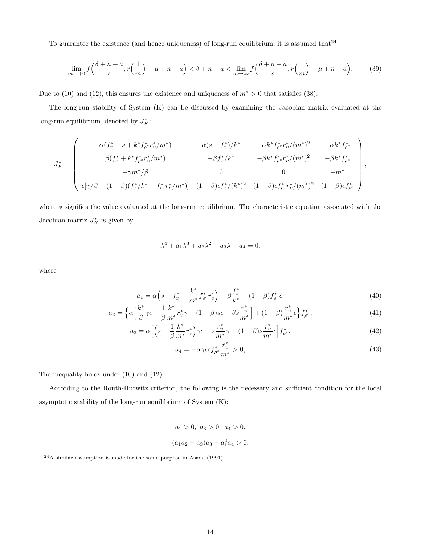To guarantee the existence (and hence uniqueness) of long-run equilibrium, it is assumed that  $24$ 

$$
\lim_{m \to +0} f\left(\frac{\delta+n+a}{s}, r\left(\frac{1}{m}\right)-\mu+n+a\right) < \delta+n+a < \lim_{m \to \infty} f\left(\frac{\delta+n+a}{s}, r\left(\frac{1}{m}\right)-\mu+n+a\right). \tag{39}
$$

Due to (10) and (12), this ensures the existence and uniqueness of  $m^* > 0$  that satisfies (38).

The long-run stability of System (K) can be discussed by examining the Jacobian matrix evaluated at the long-run equilibrium, denoted by  $J_K^*$ :

$$
J_K^* = \begin{pmatrix} \alpha(f_x^* - s + k^* f_{\rho^e}^* r_v^* / m^*) & \alpha(s - f_x^*) / k^* & -\alpha k^* f_{\rho^e}^* r_v^* / (m^*)^2 & -\alpha k^* f_{\rho^e}^* \\ \beta(f_x^* + k^* f_{\rho^e}^* r_v^* / m^*) & -\beta f_x^* / k^* & -\beta k^* f_{\rho^e}^* r_v^* / (m^*)^2 & -\beta k^* f_{\rho^e}^* \\ -\gamma m^* / \beta & 0 & 0 & -m^* \\ \epsilon [\gamma/\beta - (1 - \beta)(f_x^* / k^* + f_{\rho^e}^* r_v^* / m^*)] & (1 - \beta)\epsilon f_x^* / (k^*)^2 & (1 - \beta)\epsilon f_{\rho^e}^* r_v^* / (m^*)^2 & (1 - \beta)\epsilon f_{\rho^e}^* \end{pmatrix},
$$

where ∗ signifies the value evaluated at the long-run equilibrium. The characteristic equation associated with the Jacobian matrix  $J_K^*$  is given by

$$
\lambda^4 + a_1 \lambda^3 + a_2 \lambda^2 + a_3 \lambda + a_4 = 0,
$$

where

$$
a_1 = \alpha \left( s - f_x^* - \frac{k^*}{m^*} f_{\rho^e}^* r_v^* \right) + \beta \frac{f_x^*}{k^*} - (1 - \beta) f_{\rho^e}^* \epsilon,
$$
\n
$$
\tag{40}
$$

$$
a_2 = \left\{ \alpha \left[ \frac{k^*}{\beta} \gamma \epsilon - \frac{1}{\beta} \frac{k^*}{m^*} r_v^* \gamma - (1 - \beta) s \epsilon - \beta s \frac{r_v^*}{m^*} \right] + (1 - \beta) \frac{r_v^*}{m^*} \epsilon \right\} f_{\rho^e}^*,\tag{41}
$$

$$
a_3 = \alpha \Big[ \Big( s - \frac{1}{\beta} \frac{k^*}{m^*} r^*_{\upsilon} \Big) \gamma \epsilon - s \frac{r^*_{\upsilon}}{m^*} \gamma + (1 - \beta) s \frac{r^*_{\upsilon}}{m^*} \epsilon \Big] f^*_{\rho^e},\tag{42}
$$

$$
a_4 = -\alpha \gamma \epsilon s f_{\rho^e}^* \frac{r_v^*}{m^*} > 0,
$$
\n
$$
(43)
$$

The inequality holds under (10) and (12).

According to the Routh-Hurwitz criterion, the following is the necessary and sufficient condition for the local asymptotic stability of the long-run equilibrium of System (K):

> $a_1 > 0, a_3 > 0, a_4 > 0,$  $(a_1a_2-a_3)a_3-a_1^2a_4 > 0.$

<sup>24</sup>A similar assumption is made for the same purpose in Asada (1991).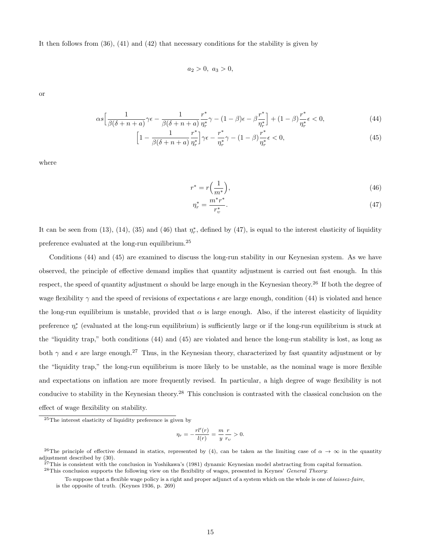It then follows from  $(36)$ ,  $(41)$  and  $(42)$  that necessary conditions for the stability is given by

$$
a_2 > 0, \ a_3 > 0,
$$

or

$$
\alpha s \left[ \frac{1}{\beta(\delta + n + a)} \gamma \epsilon - \frac{1}{\beta(\delta + n + a)} \frac{r^*}{\eta_r^*} \gamma - (1 - \beta) \epsilon - \beta \frac{r^*}{\eta_r^*} \right] + (1 - \beta) \frac{r^*}{\eta_r^*} \epsilon < 0,\tag{44}
$$

$$
\left[1 - \frac{1}{\beta(\delta + n + a)} \frac{r^*}{\eta_r^*}\right] \gamma \epsilon - \frac{r^*}{\eta_r^*} \gamma - (1 - \beta) \frac{r^*}{\eta_r^*} \epsilon < 0,\tag{45}
$$

where

$$
r^* = r\left(\frac{1}{m^*}\right),\tag{46}
$$

$$
\eta_r^* = \frac{m^* r^*}{r_v^*}.\tag{47}
$$

It can be seen from (13), (14), (35) and (46) that  $\eta_r^*$ , defined by (47), is equal to the interest elasticity of liquidity preference evaluated at the long-run equilibrium.<sup>25</sup>

Conditions (44) and (45) are examined to discuss the long-run stability in our Keynesian system. As we have observed, the principle of effective demand implies that quantity adjustment is carried out fast enough. In this respect, the speed of quantity adjustment  $\alpha$  should be large enough in the Keynesian theory.<sup>26</sup> If both the degree of wage flexibility  $\gamma$  and the speed of revisions of expectations  $\epsilon$  are large enough, condition (44) is violated and hence the long-run equilibrium is unstable, provided that  $\alpha$  is large enough. Also, if the interest elasticity of liquidity preference  $\eta_r^*$  (evaluated at the long-run equilibrium) is sufficiently large or if the long-run equilibrium is stuck at the "liquidity trap," both conditions (44) and (45) are violated and hence the long-run stability is lost, as long as both  $\gamma$  and  $\epsilon$  are large enough.<sup>27</sup> Thus, in the Keynesian theory, characterized by fast quantity adjustment or by the "liquidity trap," the long-run equilibrium is more likely to be unstable, as the nominal wage is more flexible and expectations on inflation are more frequently revised. In particular, a high degree of wage flexibility is not conducive to stability in the Keynesian theory.<sup>28</sup> This conclusion is contrasted with the classical conclusion on the effect of wage flexibility on stability.

$$
\eta_r = -\frac{rl'(r)}{l(r)} = \frac{m}{y} \frac{r}{r_v} > 0.
$$

<sup>25</sup>The interest elasticity of liquidity preference is given by

<sup>&</sup>lt;sup>26</sup>The principle of effective demand in statics, represented by (4), can be taken as the limiting case of  $\alpha \to \infty$  in the quantity adjustment described by (30).

 $^{27}$ This is consistent with the conclusion in Yoshikawa's (1981) dynamic Keynesian model abstracting from capital formation.  $^{28}$ This conclusion supports the following view on the flexibility of wages, presented in Keynes' General Theory:

To suppose that a flexible wage policy is a right and proper adjunct of a system which on the whole is one of laissez-faire, is the opposite of truth. (Keynes 1936, p. 269)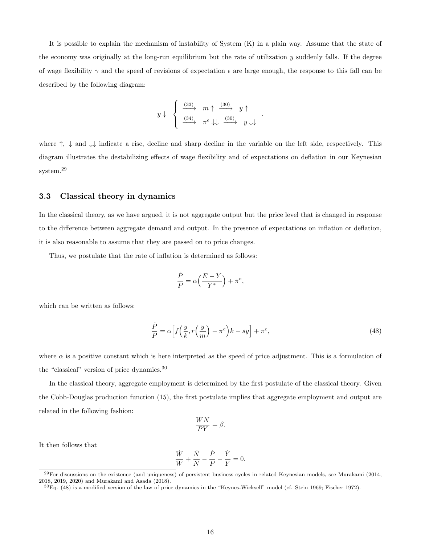It is possible to explain the mechanism of instability of System (K) in a plain way. Assume that the state of the economy was originally at the long-run equilibrium but the rate of utilization  $y$  suddenly falls. If the degree of wage flexibility  $\gamma$  and the speed of revisions of expectation  $\epsilon$  are large enough, the response to this fall can be described by the following diagram:

$$
y \downarrow \quad \left\{ \begin{array}{ccc} \xrightarrow{(33)} & m \uparrow & \xrightarrow{(30)} & y \uparrow \\ \xrightarrow{(34)} & \pi^e \downarrow \downarrow & \xrightarrow{(30)} & y \downarrow \downarrow \end{array} \right.
$$

where  $\uparrow$ ,  $\downarrow$  and  $\downarrow\downarrow$  indicate a rise, decline and sharp decline in the variable on the left side, respectively. This diagram illustrates the destabilizing effects of wage flexibility and of expectations on deflation in our Keynesian system.<sup>29</sup>

#### 3.3 Classical theory in dynamics

In the classical theory, as we have argued, it is not aggregate output but the price level that is changed in response to the difference between aggregate demand and output. In the presence of expectations on inflation or deflation, it is also reasonable to assume that they are passed on to price changes.

Thus, we postulate that the rate of inflation is determined as follows:

$$
\frac{\dot{P}}{P} = \alpha \left( \frac{E - Y}{Y^*} \right) + \pi^e,
$$

which can be written as follows:

$$
\frac{\dot{P}}{P} = \alpha \left[ f\left(\frac{y}{k}, r\left(\frac{y}{m}\right) - \pi^e\right)k - sy \right] + \pi^e,\tag{48}
$$

.

where  $\alpha$  is a positive constant which is here interpreted as the speed of price adjustment. This is a formulation of the "classical" version of price dynamics.<sup>30</sup>

In the classical theory, aggregate employment is determined by the first postulate of the classical theory. Given the Cobb-Douglas production function (15), the first postulate implies that aggregate employment and output are related in the following fashion:

$$
\frac{WN}{PY} = \beta.
$$

It then follows that

$$
\frac{\dot{W}}{W} + \frac{\dot{N}}{N} - \frac{\dot{P}}{P} - \frac{\dot{Y}}{Y} = 0.
$$

 $^{29}$ For discussions on the existence (and uniqueness) of persistent business cycles in related Keynesian models, see Murakami (2014, 2018, 2019, 2020) and Murakami and Asada (2018).

 ${}^{30}$ Eq. (48) is a modified version of the law of price dynamics in the "Keynes-Wicksell" model (cf. Stein 1969; Fischer 1972).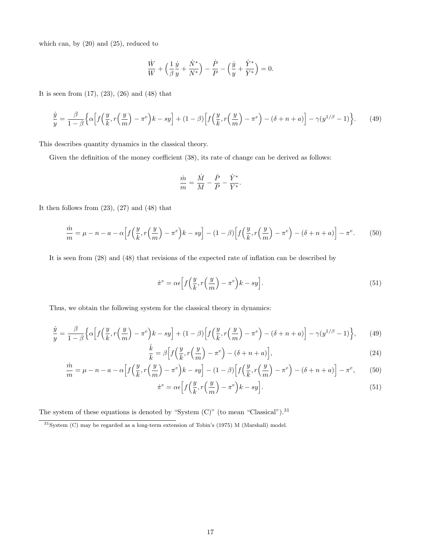which can, by (20) and (25), reduced to

$$
\frac{\dot{W}}{W} + \left(\frac{1}{\beta}\frac{\dot{y}}{y} + \frac{\dot{N}^*}{N^*}\right) - \frac{\dot{P}}{P} - \left(\frac{\dot{y}}{y} + \frac{\dot{Y}^*}{Y^*}\right) = 0.
$$

It is seen from (17), (23), (26) and (48) that

$$
\frac{\dot{y}}{y} = \frac{\beta}{1-\beta} \Big\{ \alpha \Big[ f\Big(\frac{y}{k}, r\Big(\frac{y}{m}\Big) - \pi^e \Big) k - sy \Big] + (1-\beta) \Big[ f\Big(\frac{y}{k}, r\Big(\frac{y}{m}\Big) - \pi^e \Big) - (\delta + n + a) \Big] - \gamma (y^{1/\beta} - 1) \Big\}.
$$
 (49)

This describes quantity dynamics in the classical theory.

Given the definition of the money coefficient  $(38)$ , its rate of change can be derived as follows:

$$
\frac{\dot{m}}{m} = \frac{\dot{M}}{M} - \frac{\dot{P}}{P} - \frac{\dot{Y}^*}{Y^*}.
$$

It then follows from  $(23)$ ,  $(27)$  and  $(48)$  that

$$
\frac{\dot{m}}{m} = \mu - n - a - \alpha \left[ f\left(\frac{y}{k}, r\left(\frac{y}{m}\right) - \pi^e\right)k - sy \right] - (1 - \beta) \left[ f\left(\frac{y}{k}, r\left(\frac{y}{m}\right) - \pi^e\right) - (\delta + n + a) \right] - \pi^e. \tag{50}
$$

It is seen from (28) and (48) that revisions of the expected rate of inflation can be described by

$$
\dot{\pi}^e = \alpha \epsilon \Big[ f\Big(\frac{y}{k}, r\Big(\frac{y}{m}\Big) - \pi^e \Big) k - sy \Big]. \tag{51}
$$

Thus, we obtain the following system for the classical theory in dynamics:

$$
\frac{\dot{y}}{y} = \frac{\beta}{1-\beta} \Big\{ \alpha \Big[ f\Big(\frac{y}{k}, r\Big(\frac{y}{m}\Big) - \pi^e \Big) k - sy \Big] + (1-\beta) \Big[ f\Big(\frac{y}{k}, r\Big(\frac{y}{m}\Big) - \pi^e \Big) - (\delta + n + a) \Big] - \gamma (y^{1/\beta} - 1) \Big\},\tag{49}
$$

$$
\frac{\dot{k}}{k} = \beta \Big[ f\Big(\frac{y}{k}, r\Big(\frac{y}{m}\Big) - \pi^e \Big) - (\delta + n + a) \Big],\tag{24}
$$

$$
\frac{\dot{m}}{m} = \mu - n - a - \alpha \left[ f\left(\frac{y}{k}, r\left(\frac{y}{m}\right) - \pi^e\right)k - sy \right] - (1 - \beta) \left[ f\left(\frac{y}{k}, r\left(\frac{y}{m}\right) - \pi^e\right) - (\delta + n + a) \right] - \pi^e,\tag{50}
$$

$$
\dot{\pi}^e = \alpha \epsilon \left[ f\left(\frac{y}{k}, r\left(\frac{y}{m}\right) - \pi^e\right) k - sy \right].\tag{51}
$$

The system of these equations is denoted by "System  $(C)$ " (to mean "Classical").<sup>31</sup>

<sup>31</sup>System (C) may be regarded as a long-term extension of Tobin's (1975) M (Marshall) model.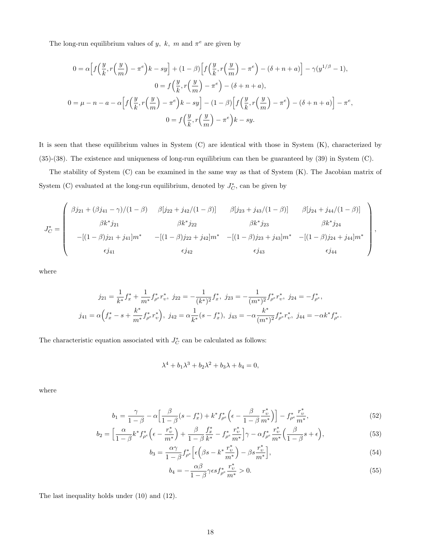The long-run equilibrium values of y, k, m and  $\pi^e$  are given by

$$
0 = \alpha \Big[ f\Big(\frac{y}{k}, r\Big(\frac{y}{m}\Big) - \pi^e \Big) k - sy \Big] + (1 - \beta) \Big[ f\Big(\frac{y}{k}, r\Big(\frac{y}{m}\Big) - \pi^e \Big) - (\delta + n + a) \Big] - \gamma (y^{1/\beta} - 1),
$$
  

$$
0 = f\Big(\frac{y}{k}, r\Big(\frac{y}{m}\Big) - \pi^e \Big) - (\delta + n + a),
$$
  

$$
0 = \mu - n - a - \alpha \Big[ f\Big(\frac{y}{k}, r\Big(\frac{y}{m}\Big) - \pi^e \Big) k - sy \Big] - (1 - \beta) \Big[ f\Big(\frac{y}{k}, r\Big(\frac{y}{m}\Big) - \pi^e \Big) - (\delta + n + a) \Big] - \pi^e,
$$
  

$$
0 = f\Big(\frac{y}{k}, r\Big(\frac{y}{m}\Big) - \pi^e \Big) k - sy.
$$

It is seen that these equilibrium values in System (C) are identical with those in System (K), characterized by (35)-(38). The existence and uniqueness of long-run equilibrium can then be guaranteed by (39) in System (C).

The stability of System (C) can be examined in the same way as that of System (K). The Jacobian matrix of System (C) evaluated at the long-run equilibrium, denoted by  $J_C^*$ , can be given by

$$
J_C^* = \begin{pmatrix} \beta j_{21} + (\beta j_{41} - \gamma)/(1 - \beta) & \beta [j_{22} + j_{42}/(1 - \beta)] & \beta [j_{23} + j_{43}/(1 - \beta)] & \beta [j_{24} + j_{44}/(1 - \beta)] \\ \beta k^* j_{21} & \beta k^* j_{22} & \beta k^* j_{23} & \beta k^* j_{24} \\ -[(1 - \beta)j_{21} + j_{41}]m^* & -[(1 - \beta)j_{22} + j_{42}]m^* & -[(1 - \beta)j_{23} + j_{43}]m^* & -[(1 - \beta)j_{24} + j_{44}]m^* \\ \epsilon j_{41} & \epsilon j_{42} & \epsilon j_{43} & \epsilon j_{44} \end{pmatrix},
$$

where

$$
j_{21} = \frac{1}{k^*} f_x^* + \frac{1}{m^*} f_{\rho^e}^* r_v^*, \ j_{22} = -\frac{1}{(k^*)^2} f_x^*, \ j_{23} = -\frac{1}{(m^*)^2} f_{\rho^e}^* r_v^*, \ j_{24} = -f_{\rho^e}^*,
$$
  

$$
j_{41} = \alpha \Big( f_x^* - s + \frac{k^*}{m^*} f_{\rho^e}^* r_v^* \Big), \ j_{42} = \alpha \frac{1}{k^*} (s - f_x^*), \ j_{43} = -\alpha \frac{k^*}{(m^*)^2} f_{\rho^e}^* r_v^*, \ j_{44} = -\alpha k^* f_{\rho^e}^*.
$$

The characteristic equation associated with  $J_C^*$  can be calculated as follows:

$$
\lambda^4 + b_1 \lambda^3 + b_2 \lambda^2 + b_3 \lambda + b_4 = 0,
$$

where

$$
b_1 = \frac{\gamma}{1-\beta} - \alpha \Big[ \frac{\beta}{1-\beta} (s - f_x^*) + k^* f_{\rho^e}^* \Big( \epsilon - \frac{\beta}{1-\beta} \frac{r_v^*}{m^*} \Big) \Big] - f_{\rho^e}^* \frac{r_v^*}{m^*},\tag{52}
$$

$$
b_2 = \left[\frac{\alpha}{1-\beta}k^*f_{\rho^e}^*\left(\epsilon - \frac{r_v^*}{m^*}\right) + \frac{\beta}{1-\beta}\frac{f_x^*}{k^*} - f_{\rho^e}^*\frac{r_v^*}{m^*}\right]\gamma - \alpha f_{\rho^e}^*\frac{r_v^*}{m^*}\left(\frac{\beta}{1-\beta}s + \epsilon\right),\tag{53}
$$

$$
b_3 = \frac{\alpha \gamma}{1 - \beta} f_{\rho^e}^* \left[ \epsilon \left( \beta s - k^* \frac{r_v^*}{m^*} \right) - \beta s \frac{r_v^*}{m^*} \right],\tag{54}
$$

$$
b_4 = -\frac{\alpha \beta}{1 - \beta} \gamma \epsilon s f_{\rho^e}^* \frac{r_v^*}{m^*} > 0. \tag{55}
$$

The last inequality holds under (10) and (12).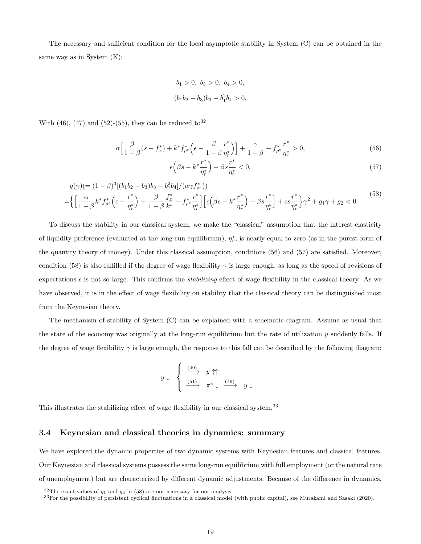The necessary and sufficient condition for the local asymptotic stability in System (C) can be obtained in the same way as in System (K):

$$
b_1 > 0, b_3 > 0, b_4 > 0,
$$
  

$$
(b_1b_2 - b_3)b_3 - b_1^2b_4 > 0.
$$

With (46), (47) and (52)-(55), they can be reduced to  $32$ 

$$
\alpha \Big[ \frac{\beta}{1-\beta} (s - f_x^*) + k^* f_{\rho^e}^* \Big( \epsilon - \frac{\beta}{1-\beta} \frac{r^*}{\eta_r^*} \Big) \Big] + \frac{\gamma}{1-\beta} - f_{\rho^e}^* \frac{r^*}{\eta_r^*} > 0, \tag{56}
$$

$$
\epsilon \left(\beta s - k^* \frac{r^*}{\eta_r^*}\right) - \beta s \frac{r^*}{\eta_r^*} < 0,\tag{57}
$$

$$
g(\gamma) = (1 - \beta)^3 [(b_1 b_2 - b_3) b_3 - b_1^2 b_4] / (\alpha \gamma f_{\rho^e}^*)
$$
  
= 
$$
\left\{ \left[ \frac{\alpha}{1 - \beta} k^* f_{\rho^e}^* \left( \epsilon - \frac{r^*}{\eta_r^*} \right) + \frac{\beta}{1 - \beta} \frac{f_x^*}{k^*} - f_{\rho^e}^* \frac{r^*}{\eta_r^*} \right] \left[ \epsilon \left( \beta s - k^* \frac{r^*}{\eta_r^*} \right) - \beta s \frac{r^*}{\eta_r^*} \right] + \epsilon s \frac{r^*}{\eta_r^*} \right\} \gamma^2 + g_1 \gamma + g_2 < 0
$$
 (58)

To discuss the stability in our classical system, we make the "classical" assumption that the interest elasticity of liquidity preference (evaluated at the long-run equilibrium),  $\eta_r^*$ , is nearly equal to zero (as in the purest form of the quantity theory of money). Under this classical assumption, conditions (56) and (57) are satisfied. Moreover, condition (58) is also fulfilled if the degree of wage flexibility  $\gamma$  is large enough, as long as the speed of revisions of expectations  $\epsilon$  is not so large. This confirms the *stabilizing* effect of wage flexibility in the classical theory. As we have observed, it is in the effect of wage flexibility on stability that the classical theory can be distinguished most from the Keynesian theory.

The mechanism of stability of System (C) can be explained with a schematic diagram. Assume as usual that the state of the economy was originally at the long-run equilibrium but the rate of utilization  $y$  suddenly falls. If the degree of wage flexibility  $\gamma$  is large enough, the response to this fall can be described by the following diagram:

$$
y \downarrow \quad \left\{ \begin{array}{c} \xrightarrow{(49)} & y \uparrow \uparrow \\ \xrightarrow{(51)} & \pi^e \downarrow \xrightarrow{(49)} & y \downarrow \end{array} \right.
$$

.

This illustrates the stabilizing effect of wage flexibility in our classical system.<sup>33</sup>

### 3.4 Keynesian and classical theories in dynamics: summary

We have explored the dynamic properties of two dynamic systems with Keynesian features and classical features. Our Keynesian and classical systems possess the same long-run equilibrium with full employment (or the natural rate of unemployment) but are characterized by different dynamic adjustments. Because of the difference in dynamics,

 $32$ The exact values of  $g_1$  and  $g_2$  in (58) are not necessary for our analysis.

<sup>33</sup>For the possibility of persistent cyclical fluctuations in a classical model (with public capital), see Murakami and Sasaki (2020).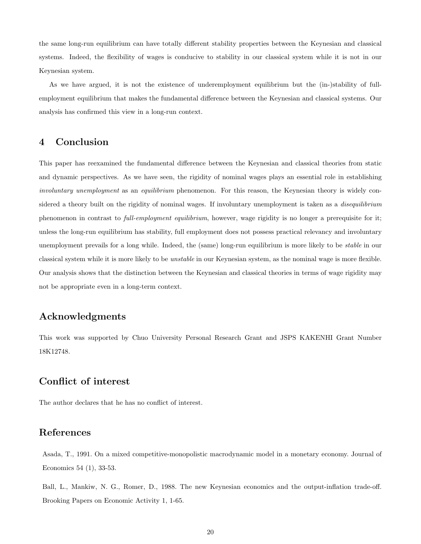the same long-run equilibrium can have totally different stability properties between the Keynesian and classical systems. Indeed, the flexibility of wages is conducive to stability in our classical system while it is not in our Keynesian system.

As we have argued, it is not the existence of underemployment equilibrium but the (in-)stability of fullemployment equilibrium that makes the fundamental difference between the Keynesian and classical systems. Our analysis has confirmed this view in a long-run context.

## 4 Conclusion

This paper has reexamined the fundamental difference between the Keynesian and classical theories from static and dynamic perspectives. As we have seen, the rigidity of nominal wages plays an essential role in establishing involuntary unemployment as an equilibrium phenomenon. For this reason, the Keynesian theory is widely considered a theory built on the rigidity of nominal wages. If involuntary unemployment is taken as a *disequilibrium* phenomenon in contrast to full-employment equilibrium, however, wage rigidity is no longer a prerequisite for it; unless the long-run equilibrium has stability, full employment does not possess practical relevancy and involuntary unemployment prevails for a long while. Indeed, the (same) long-run equilibrium is more likely to be stable in our classical system while it is more likely to be unstable in our Keynesian system, as the nominal wage is more flexible. Our analysis shows that the distinction between the Keynesian and classical theories in terms of wage rigidity may not be appropriate even in a long-term context.

### Acknowledgments

This work was supported by Chuo University Personal Research Grant and JSPS KAKENHI Grant Number 18K12748.

### Conflict of interest

The author declares that he has no conflict of interest.

### References

Asada, T., 1991. On a mixed competitive-monopolistic macrodynamic model in a monetary economy. Journal of Economics 54 (1), 33-53.

Ball, L., Mankiw, N. G., Romer, D., 1988. The new Keynesian economics and the output-inflation trade-off. Brooking Papers on Economic Activity 1, 1-65.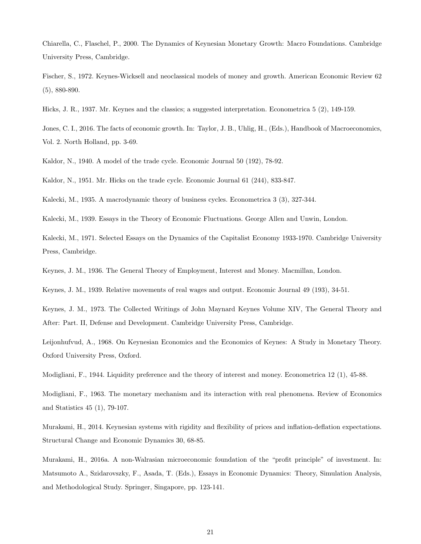Chiarella, C., Flaschel, P., 2000. The Dynamics of Keynesian Monetary Growth: Macro Foundations. Cambridge University Press, Cambridge.

Fischer, S., 1972. Keynes-Wicksell and neoclassical models of money and growth. American Economic Review 62 (5), 880-890.

Hicks, J. R., 1937. Mr. Keynes and the classics; a suggested interpretation. Econometrica 5 (2), 149-159.

Jones, C. I., 2016. The facts of economic growth. In: Taylor, J. B., Uhlig, H., (Eds.), Handbook of Macroeconomics, Vol. 2. North Holland, pp. 3-69.

Kaldor, N., 1940. A model of the trade cycle. Economic Journal 50 (192), 78-92.

Kaldor, N., 1951. Mr. Hicks on the trade cycle. Economic Journal 61 (244), 833-847.

Kalecki, M., 1935. A macrodynamic theory of business cycles. Econometrica 3 (3), 327-344.

Kalecki, M., 1939. Essays in the Theory of Economic Fluctuations. George Allen and Unwin, London.

Kalecki, M., 1971. Selected Essays on the Dynamics of the Capitalist Economy 1933-1970. Cambridge University Press, Cambridge.

Keynes, J. M., 1936. The General Theory of Employment, Interest and Money. Macmillan, London.

Keynes, J. M., 1939. Relative movements of real wages and output. Economic Journal 49 (193), 34-51.

Keynes, J. M., 1973. The Collected Writings of John Maynard Keynes Volume XIV, The General Theory and After: Part. II, Defense and Development. Cambridge University Press, Cambridge.

Leijonhufvud, A., 1968. On Keynesian Economics and the Economics of Keynes: A Study in Monetary Theory. Oxford University Press, Oxford.

Modigliani, F., 1944. Liquidity preference and the theory of interest and money. Econometrica 12 (1), 45-88.

Modigliani, F., 1963. The monetary mechanism and its interaction with real phenomena. Review of Economics and Statistics 45 (1), 79-107.

Murakami, H., 2014. Keynesian systems with rigidity and flexibility of prices and inflation-deflation expectations. Structural Change and Economic Dynamics 30, 68-85.

Murakami, H., 2016a. A non-Walrasian microeconomic foundation of the "profit principle" of investment. In: Matsumoto A., Szidarovszky, F., Asada, T. (Eds.), Essays in Economic Dynamics: Theory, Simulation Analysis, and Methodological Study. Springer, Singapore, pp. 123-141.